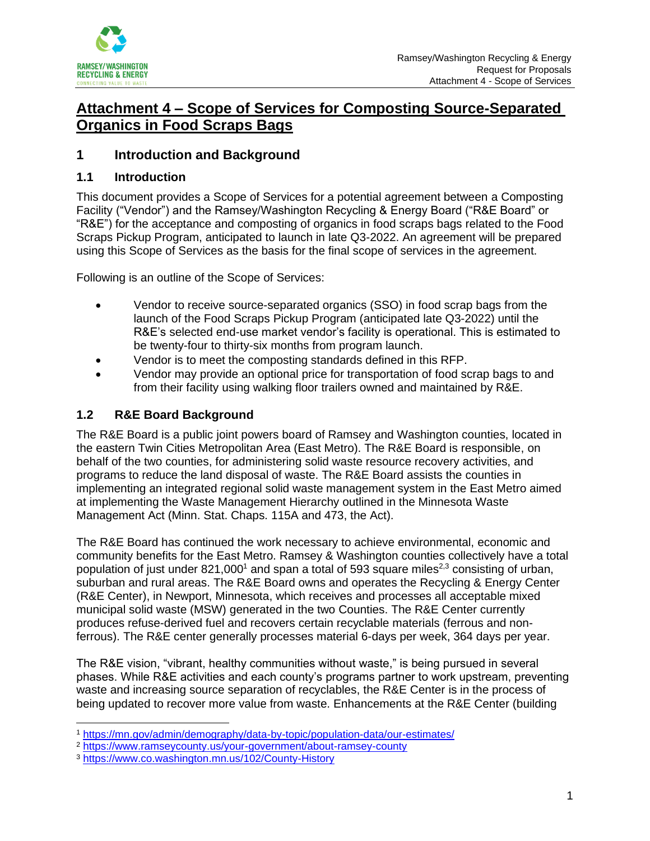

# **Attachment 4 – Scope of Services for Composting Source-Separated Organics in Food Scraps Bags**

# **1 Introduction and Background**

#### **1.1 Introduction**

This document provides a Scope of Services for a potential agreement between a Composting Facility ("Vendor") and the Ramsey/Washington Recycling & Energy Board ("R&E Board" or "R&E") for the acceptance and composting of organics in food scraps bags related to the Food Scraps Pickup Program, anticipated to launch in late Q3-2022. An agreement will be prepared using this Scope of Services as the basis for the final scope of services in the agreement.

Following is an outline of the Scope of Services:

- Vendor to receive source-separated organics (SSO) in food scrap bags from the launch of the Food Scraps Pickup Program (anticipated late Q3-2022) until the R&E's selected end-use market vendor's facility is operational. This is estimated to be twenty-four to thirty-six months from program launch.
- Vendor is to meet the composting standards defined in this RFP.
- Vendor may provide an optional price for transportation of food scrap bags to and from their facility using walking floor trailers owned and maintained by R&E.

# **1.2 R&E Board Background**

The R&E Board is a public joint powers board of Ramsey and Washington counties, located in the eastern Twin Cities Metropolitan Area (East Metro). The R&E Board is responsible, on behalf of the two counties, for administering solid waste resource recovery activities, and programs to reduce the land disposal of waste. The R&E Board assists the counties in implementing an integrated regional solid waste management system in the East Metro aimed at implementing the Waste Management Hierarchy outlined in the Minnesota Waste Management Act (Minn. Stat. Chaps. 115A and 473, the Act).

The R&E Board has continued the work necessary to achieve environmental, economic and community benefits for the East Metro. Ramsey & Washington counties collectively have a total population of just under 821,000<sup>1</sup> and span a total of 593 square miles<sup>2,3</sup> consisting of urban, suburban and rural areas. The R&E Board owns and operates the Recycling & Energy Center (R&E Center), in Newport, Minnesota, which receives and processes all acceptable mixed municipal solid waste (MSW) generated in the two Counties. The R&E Center currently produces refuse-derived fuel and recovers certain recyclable materials (ferrous and nonferrous). The R&E center generally processes material 6-days per week, 364 days per year.

The R&E vision, "vibrant, healthy communities without waste," is being pursued in several phases. While R&E activities and each county's programs partner to work upstream, preventing waste and increasing source separation of recyclables, the R&E Center is in the process of being updated to recover more value from waste. Enhancements at the R&E Center (building

<sup>1</sup> <https://mn.gov/admin/demography/data-by-topic/population-data/our-estimates/>

<sup>2</sup> <https://www.ramseycounty.us/your-government/about-ramsey-county>

<sup>3</sup> <https://www.co.washington.mn.us/102/County-History>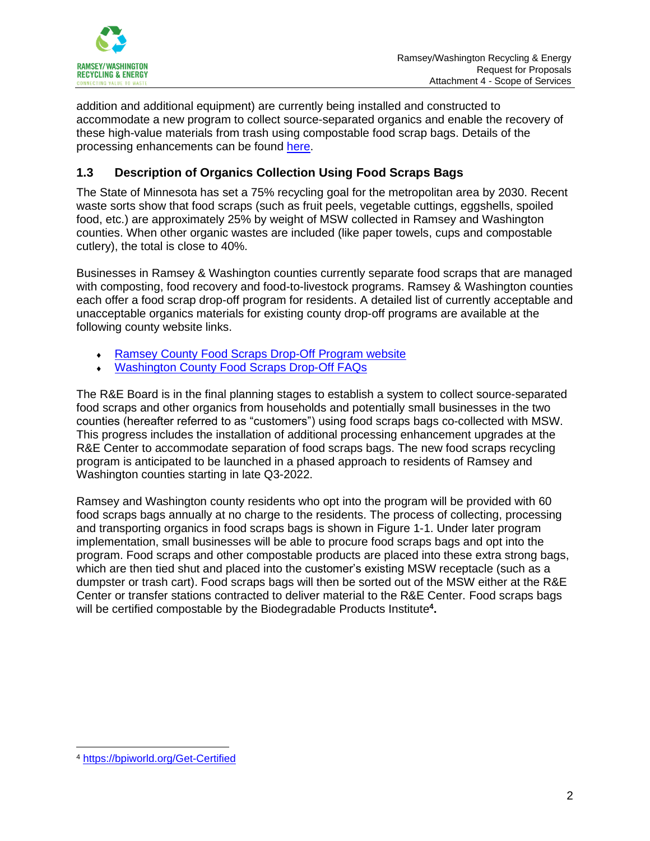

addition and additional equipment) are currently being installed and constructed to accommodate a new program to collect source-separated organics and enable the recovery of these high-value materials from trash using compostable food scrap bags. Details of the processing enhancements can be found [here.](https://recyclingandenergy.org/investing-in-the-future/)

# **1.3 Description of Organics Collection Using Food Scraps Bags**

The State of Minnesota has set a 75% recycling goal for the metropolitan area by 2030. Recent waste sorts show that food scraps (such as fruit peels, vegetable cuttings, eggshells, spoiled food, etc.) are approximately 25% by weight of MSW collected in Ramsey and Washington counties. When other organic wastes are included (like paper towels, cups and compostable cutlery), the total is close to 40%.

Businesses in Ramsey & Washington counties currently separate food scraps that are managed with composting, food recovery and food-to-livestock programs. Ramsey & Washington counties each offer a food scrap drop-off program for residents. A detailed list of currently acceptable and unacceptable organics materials for existing county drop-off programs are available at the following county website links.

- [Ramsey County Food Scraps Drop-Off](https://www.ramseycounty.us/residents/recycling-waste/collection-sites/food-scraps) Program website
- [Washington County Food Scraps](https://www.co.washington.mn.us/DocumentCenter/View/22788/Organics-Frequently-Asked-Questions) Drop-Off FAQs

The R&E Board is in the final planning stages to establish a system to collect source-separated food scraps and other organics from households and potentially small businesses in the two counties (hereafter referred to as "customers") using food scraps bags co-collected with MSW. This progress includes the installation of additional processing enhancement upgrades at the R&E Center to accommodate separation of food scraps bags. The new food scraps recycling program is anticipated to be launched in a phased approach to residents of Ramsey and Washington counties starting in late Q3-2022.

Ramsey and Washington county residents who opt into the program will be provided with 60 food scraps bags annually at no charge to the residents. The process of collecting, processing and transporting organics in food scraps bags is shown in Figure 1-1. Under later program implementation, small businesses will be able to procure food scraps bags and opt into the program. Food scraps and other compostable products are placed into these extra strong bags, which are then tied shut and placed into the customer's existing MSW receptacle (such as a dumpster or trash cart). Food scraps bags will then be sorted out of the MSW either at the R&E Center or transfer stations contracted to deliver material to the R&E Center. Food scraps bags will be certified compostable by the Biodegradable Products Institute**<sup>4</sup> .** 

<sup>4</sup> <https://bpiworld.org/Get-Certified>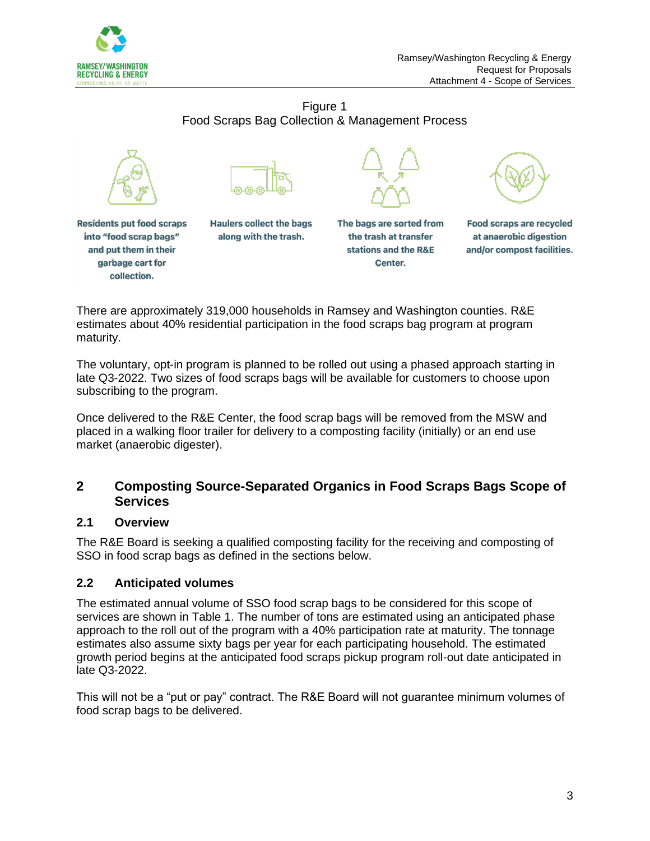

Figure 1 Food Scraps Bag Collection & Management Process





**Residents put food scraps** into "food scrap bags" and put them in their garbage cart for collection.

**Haulers collect the bags** along with the trash.



stations and the R&E

Center.



**Food scraps are recycled** at anaerobic digestion and/or compost facilities.

There are approximately 319,000 households in Ramsey and Washington counties. R&E estimates about 40% residential participation in the food scraps bag program at program maturity.

The voluntary, opt-in program is planned to be rolled out using a phased approach starting in late Q3-2022. Two sizes of food scraps bags will be available for customers to choose upon subscribing to the program.

Once delivered to the R&E Center, the food scrap bags will be removed from the MSW and placed in a walking floor trailer for delivery to a composting facility (initially) or an end use market (anaerobic digester).

# **2 Composting Source-Separated Organics in Food Scraps Bags Scope of Services**

# **2.1 Overview**

The R&E Board is seeking a qualified composting facility for the receiving and composting of SSO in food scrap bags as defined in the sections below.

# **2.2 Anticipated volumes**

The estimated annual volume of SSO food scrap bags to be considered for this scope of services are shown in Table 1. The number of tons are estimated using an anticipated phase approach to the roll out of the program with a 40% participation rate at maturity. The tonnage estimates also assume sixty bags per year for each participating household. The estimated growth period begins at the anticipated food scraps pickup program roll-out date anticipated in late Q3-2022.

This will not be a "put or pay" contract. The R&E Board will not guarantee minimum volumes of food scrap bags to be delivered.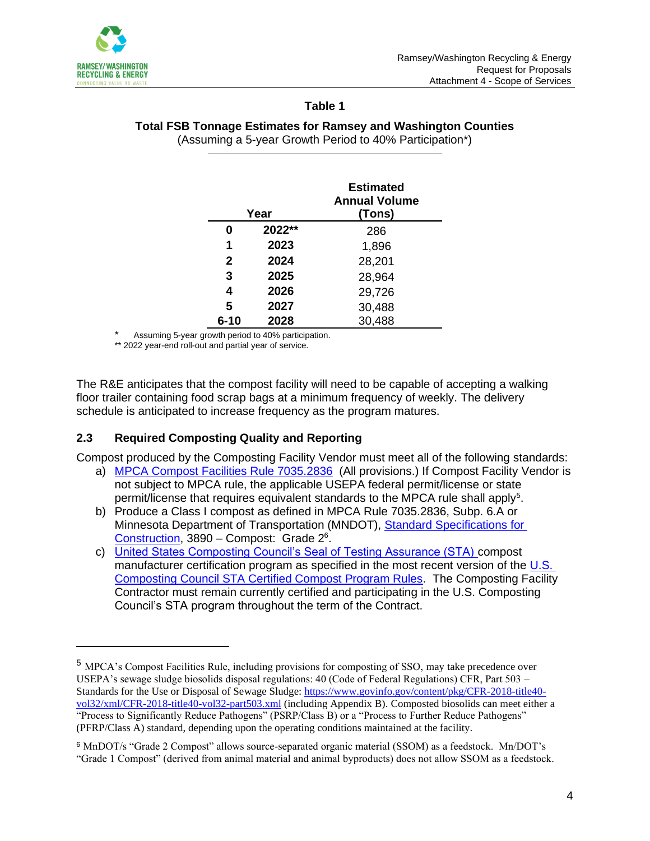

#### **Table 1**

#### **Total FSB Tonnage Estimates for Ramsey and Washington Counties** (Assuming a 5-year Growth Period to 40% Participation\*)

| Year         |          | <b>Estimated</b><br><b>Annual Volume</b><br>(Tons) |
|--------------|----------|----------------------------------------------------|
| 0            | $2022**$ | 286                                                |
| 1            | 2023     | 1,896                                              |
| $\mathbf{2}$ | 2024     | 28,201                                             |
| 3            | 2025     | 28,964                                             |
| 4            | 2026     | 29,726                                             |
| 5            | 2027     | 30,488                                             |
| $6 - 10$     | 2028     | 30,488                                             |

Assuming 5-year growth period to 40% participation.

\*\* 2022 year-end roll-out and partial year of service.

The R&E anticipates that the compost facility will need to be capable of accepting a walking floor trailer containing food scrap bags at a minimum frequency of weekly. The delivery schedule is anticipated to increase frequency as the program matures.

# **2.3 Required Composting Quality and Reporting**

Compost produced by the Composting Facility Vendor must meet all of the following standards:

- a) [MPCA Compost Facilities Rule 7035.2836](https://www.revisor.mn.gov/rules/7035.2836/) (All provisions.) If Compost Facility Vendor is not subject to MPCA rule, the applicable USEPA federal permit/license or state permit/license that requires equivalent standards to the MPCA rule shall apply<sup>5</sup>.
- b) Produce a Class I compost as defined in MPCA Rule 7035.2836, Subp. 6.A or Minnesota Department of Transportation (MNDOT), [Standard Specifications for](http://www.dot.state.mn.us/pre-letting/spec/2018/2018-spec-book-final.pdf)  [Construction,](http://www.dot.state.mn.us/pre-letting/spec/2018/2018-spec-book-final.pdf) 3890 - Compost: Grade 2<sup>6</sup>.
- c) [United States Composting Council's Seal of Testing Assurance \(STA\)](https://www.compostingcouncil.org/page/STA-Requirements) compost manufacturer certification program as specified in the most recent version of the U.S. [Composting Council STA Certified Compost Program Rules.](https://www.compostingcouncil.org/resource/resmgr/images/USCC_STA_Participant_Rules.pdf) The Composting Facility Contractor must remain currently certified and participating in the U.S. Composting Council's STA program throughout the term of the Contract.

<sup>5</sup> MPCA's Compost Facilities Rule, including provisions for composting of SSO, may take precedence over USEPA's sewage sludge biosolids disposal regulations: 40 (Code of Federal Regulations) CFR, Part 503 – Standards for the Use or Disposal of Sewage Sludge: [https://www.govinfo.gov/content/pkg/CFR-2018-title40](https://www.govinfo.gov/content/pkg/CFR-2018-title40-vol32/xml/CFR-2018-title40-vol32-part503.xml) [vol32/xml/CFR-2018-title40-vol32-part503.xml](https://www.govinfo.gov/content/pkg/CFR-2018-title40-vol32/xml/CFR-2018-title40-vol32-part503.xml) (including Appendix B). Composted biosolids can meet either a "Process to Significantly Reduce Pathogens" (PSRP/Class B) or a "Process to Further Reduce Pathogens" (PFRP/Class A) standard, depending upon the operating conditions maintained at the facility.

<sup>6</sup> MnDOT/s "Grade 2 Compost" allows source-separated organic material (SSOM) as a feedstock. Mn/DOT's "Grade 1 Compost" (derived from animal material and animal byproducts) does not allow SSOM as a feedstock.